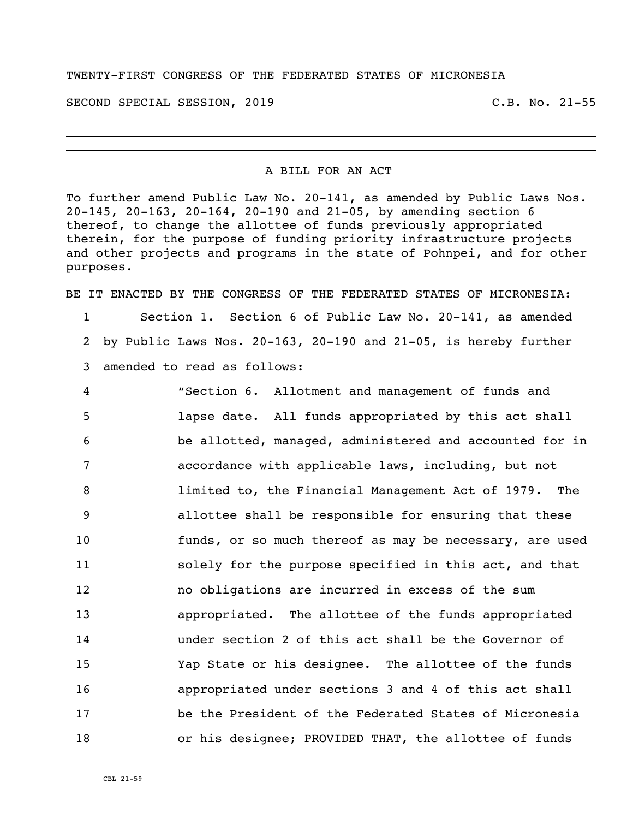## TWENTY-FIRST CONGRESS OF THE FEDERATED STATES OF MICRONESIA

SECOND SPECIAL SESSION, 2019 C.B. No. 21-55

## A BILL FOR AN ACT

To further amend Public Law No. 20-141, as amended by Public Laws Nos. 20-145, 20-163, 20-164, 20-190 and 21-05, by amending section 6 thereof, to change the allottee of funds previously appropriated therein, for the purpose of funding priority infrastructure projects and other projects and programs in the state of Pohnpei, and for other purposes.

BE IT ENACTED BY THE CONGRESS OF THE FEDERATED STATES OF MICRONESIA:

 Section 1. Section 6 of Public Law No. 20-141, as amended by Public Laws Nos. 20-163, 20-190 and 21-05, is hereby further amended to read as follows:

 "Section 6. Allotment and management of funds and lapse date. All funds appropriated by this act shall be allotted, managed, administered and accounted for in accordance with applicable laws, including, but not limited to, the Financial Management Act of 1979. The allottee shall be responsible for ensuring that these funds, or so much thereof as may be necessary, are used solely for the purpose specified in this act, and that no obligations are incurred in excess of the sum appropriated. The allottee of the funds appropriated under section 2 of this act shall be the Governor of Yap State or his designee. The allottee of the funds appropriated under sections 3 and 4 of this act shall be the President of the Federated States of Micronesia or his designee; PROVIDED THAT, the allottee of funds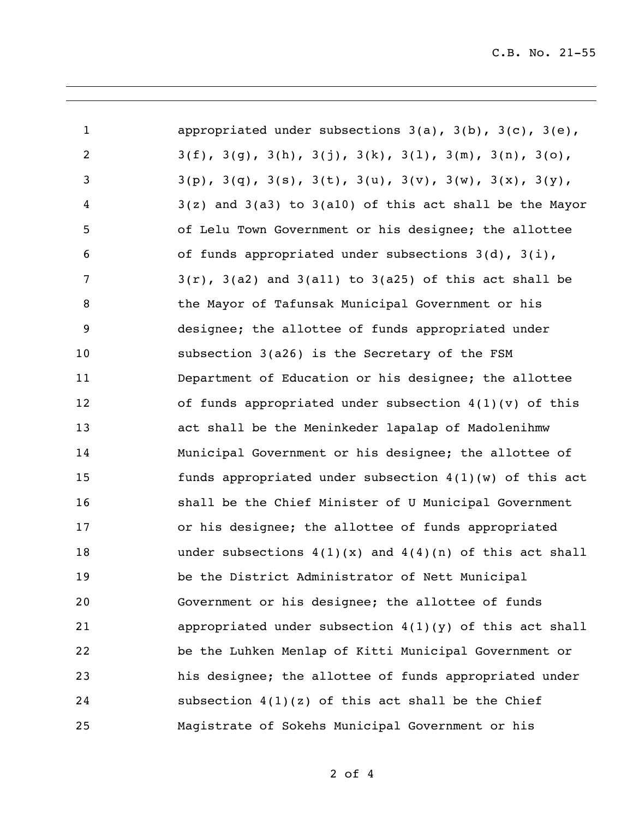| $\mathbf{1}$   | appropriated under subsections $3(a)$ , $3(b)$ , $3(c)$ , $3(e)$ ,               |
|----------------|----------------------------------------------------------------------------------|
| $\overline{2}$ | $3(f), 3(g), 3(h), 3(j), 3(k), 3(l), 3(m), 3(n), 3(o),$                          |
| $\mathsf{3}$   | $3(p)$ , $3(q)$ , $3(s)$ , $3(t)$ , $3(u)$ , $3(v)$ , $3(w)$ , $3(x)$ , $3(y)$ , |
| 4              | $3(z)$ and $3(a3)$ to $3(a10)$ of this act shall be the Mayor                    |
| 5              | of Lelu Town Government or his designee; the allottee                            |
| 6              | of funds appropriated under subsections $3(d)$ , $3(i)$ ,                        |
| 7              | $3(r)$ , $3(a2)$ and $3(a11)$ to $3(a25)$ of this act shall be                   |
| 8              | the Mayor of Tafunsak Municipal Government or his                                |
| 9              | designee; the allottee of funds appropriated under                               |
| 10             | subsection 3(a26) is the Secretary of the FSM                                    |
| 11             | Department of Education or his designee; the allottee                            |
| 12             | of funds appropriated under subsection $4(1)(v)$ of this                         |
| 13             | act shall be the Meninkeder lapalap of Madolenihmw                               |
| 14             | Municipal Government or his designee; the allottee of                            |
| 15             | funds appropriated under subsection $4(1)(w)$ of this act                        |
| 16             | shall be the Chief Minister of U Municipal Government                            |
| 17             | or his designee; the allottee of funds appropriated                              |
| 18             | under subsections $4(1)(x)$ and $4(4)(n)$ of this act shall                      |
| 19             | be the District Administrator of Nett Municipal                                  |
| 20             | Government or his designee; the allottee of funds                                |
| 21             | appropriated under subsection $4(1)(y)$ of this act shall                        |
| 22             | be the Luhken Menlap of Kitti Municipal Government or                            |
| 23             | his designee; the allottee of funds appropriated under                           |
| 24             | subsection $4(1)(z)$ of this act shall be the Chief                              |
| 25             | Magistrate of Sokehs Municipal Government or his                                 |

of 4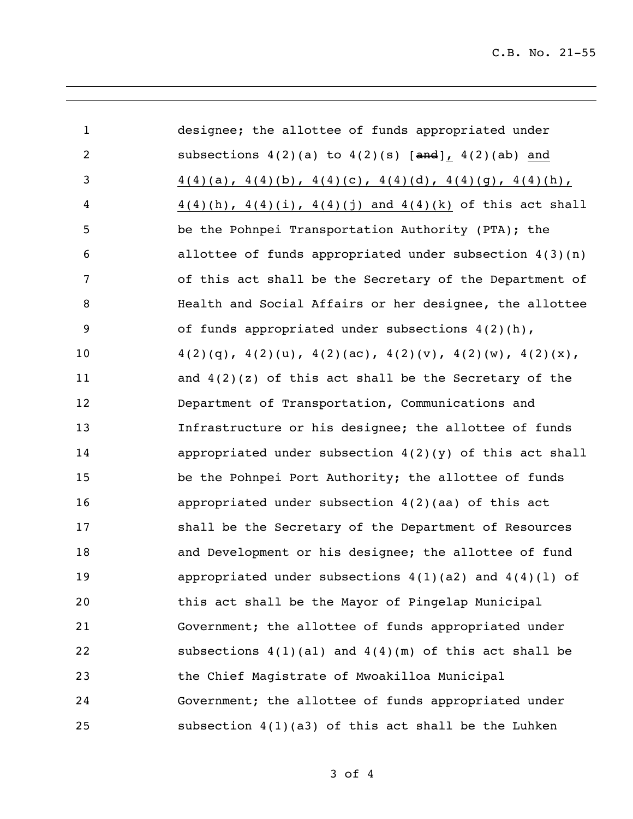C.B. No. 21-55

| $\mathbf{1}$   | designee; the allottee of funds appropriated under                       |
|----------------|--------------------------------------------------------------------------|
| $\overline{2}$ | subsections $4(2)(a)$ to $4(2)(s)$ [and], $4(2)(ab)$ and                 |
| 3              | $4(4)(a)$ , $4(4)(b)$ , $4(4)(c)$ , $4(4)(d)$ , $4(4)(g)$ , $4(4)(h)$ ,  |
| 4              | $4(4)(h)$ , $4(4)(i)$ , $4(4)(j)$ and $4(4)(k)$ of this act shall        |
| 5              | be the Pohnpei Transportation Authority (PTA); the                       |
| 6              | allottee of funds appropriated under subsection $4(3)(n)$                |
| 7              | of this act shall be the Secretary of the Department of                  |
| 8              | Health and Social Affairs or her designee, the allottee                  |
| 9              | of funds appropriated under subsections 4(2)(h),                         |
| 10             | $4(2)(q)$ , $4(2)(u)$ , $4(2)(ac)$ , $4(2)(v)$ , $4(2)(w)$ , $4(2)(x)$ , |
| 11             | and $4(2)(z)$ of this act shall be the Secretary of the                  |
| 12             | Department of Transportation, Communications and                         |
| 13             | Infrastructure or his designee; the allottee of funds                    |
| 14             | appropriated under subsection $4(2)(y)$ of this act shall                |
| 15             | be the Pohnpei Port Authority; the allottee of funds                     |
| 16             | appropriated under subsection $4(2)(aa)$ of this act                     |
| 17             | shall be the Secretary of the Department of Resources                    |
| 18             | and Development or his designee; the allottee of fund                    |
| 19             | appropriated under subsections $4(1)(a2)$ and $4(4)(1)$ of               |
| 20             | this act shall be the Mayor of Pingelap Municipal                        |
| 21             | Government; the allottee of funds appropriated under                     |
| 22             | subsections $4(1)(a1)$ and $4(4)(m)$ of this act shall be                |
| 23             | the Chief Magistrate of Mwoakilloa Municipal                             |
| 24             | Government; the allottee of funds appropriated under                     |
| 25             | subsection $4(1)(a3)$ of this act shall be the Luhken                    |